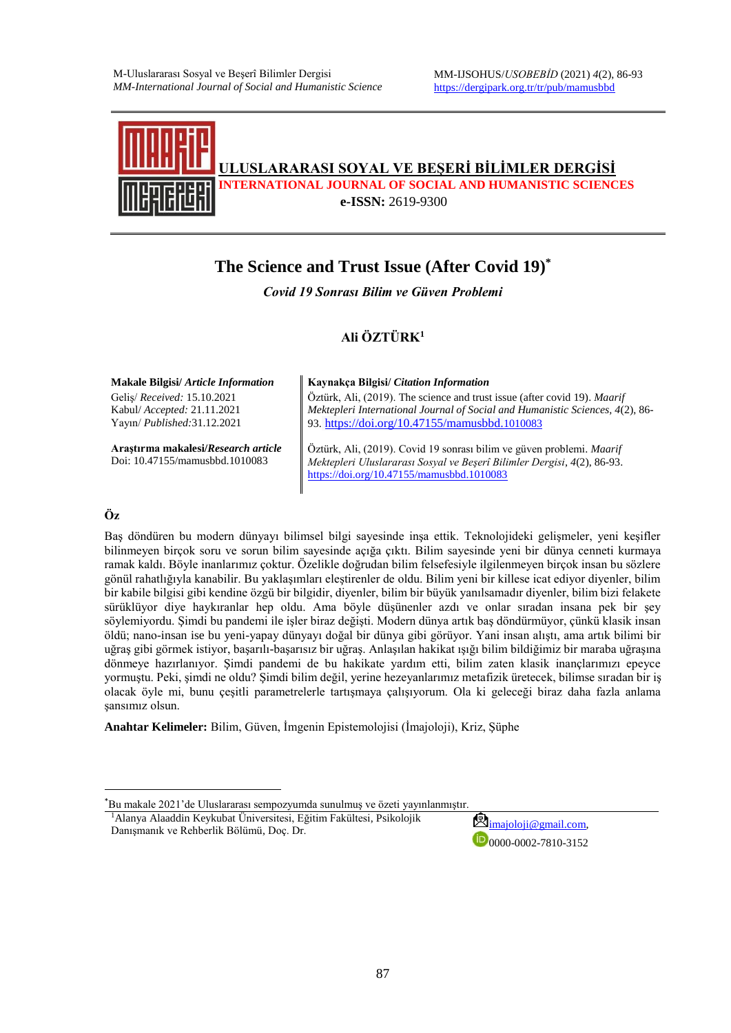

# **The Science and Trust Issue (After Covid 19)\***

*Covid 19 Sonrası Bilim ve Güven Problemi*

#### **Ali ÖZTÜRK<sup>1</sup>**

Geliş/ *Received:* 15.10.2021 Kabul/ *Accepted:* 21.11.2021 Yayın/ *Published:*31.12.2021

**Araştırma makalesi/***Research article* Doi: 10.47155/mamusbbd.1010083

**Makale Bilgisi/** *Article Information* **Kaynakça Bilgisi/** *Citation Information*

Öztürk, Ali, (2019). The science and trust issue (after covid 19). *Maarif Mektepleri International Journal of Social and Humanistic Sciences, 4*(2), 86- 93. [https://doi.org/10.47155/mamusbbd.](https://doi.org/10.47155/mamusbbd.1010083)1010083

Öztürk, Ali, (2019). Covid 19 sonrası bilim ve güven problemi. *Maarif Mektepleri Uluslararası Sosyal ve Beşerî Bilimler Dergisi*, *4*(2), 86-93. <https://doi.org/10.47155/mamusbbd.1010083>

#### **Öz**

**.** 

Baş döndüren bu modern dünyayı bilimsel bilgi sayesinde inşa ettik. Teknolojideki gelişmeler, yeni keşifler bilinmeyen birçok soru ve sorun bilim sayesinde açığa çıktı. Bilim sayesinde yeni bir dünya cenneti kurmaya ramak kaldı. Böyle inanlarımız çoktur. Özelikle doğrudan bilim felsefesiyle ilgilenmeyen birçok insan bu sözlere gönül rahatlığıyla kanabilir. Bu yaklaşımları eleştirenler de oldu. Bilim yeni bir killese icat ediyor diyenler, bilim bir kabile bilgisi gibi kendine özgü bir bilgidir, diyenler, bilim bir büyük yanılsamadır diyenler, bilim bizi felakete sürüklüyor diye haykıranlar hep oldu. Ama böyle düşünenler azdı ve onlar sıradan insana pek bir şey söylemiyordu. Şimdi bu pandemi ile işler biraz değişti. Modern dünya artık baş döndürmüyor, çünkü klasik insan öldü; nano-insan ise bu yeni-yapay dünyayı doğal bir dünya gibi görüyor. Yani insan alıştı, ama artık bilimi bir uğraş gibi görmek istiyor, başarılı-başarısız bir uğraş. Anlaşılan hakikat ışığı bilim bildiğimiz bir maraba uğraşına dönmeye hazırlanıyor. Şimdi pandemi de bu hakikate yardım etti, bilim zaten klasik inançlarımızı epeyce yormuştu. Peki, şimdi ne oldu? Şimdi bilim değil, yerine hezeyanlarımız metafizik üretecek, bilimse sıradan bir iş olacak öyle mi, bunu çeşitli parametrelerle tartışmaya çalışıyorum. Ola ki geleceği biraz daha fazla anlama şansımız olsun.

**Anahtar Kelimeler:** Bilim, Güven, İmgenin Epistemolojisi (İmajoloji), Kriz, Şüphe

<sup>1</sup>Alanya Alaaddin Keykubat Üniversitesi, Eğitim Fakültesi, Psikolojik <sup>1</sup>Alanya Alaaddin Keykubat Universitesi, Eğitim Fakültesi, Psikolojik<br>Danısmanık ve Rehberlik Bölümü, Doc. Dr.

 $D_{0000-0002-7810-3152}$ 

<sup>\*</sup>Bu makale 2021'de Uluslararası sempozyumda sunulmuş ve özeti yayınlanmıştır.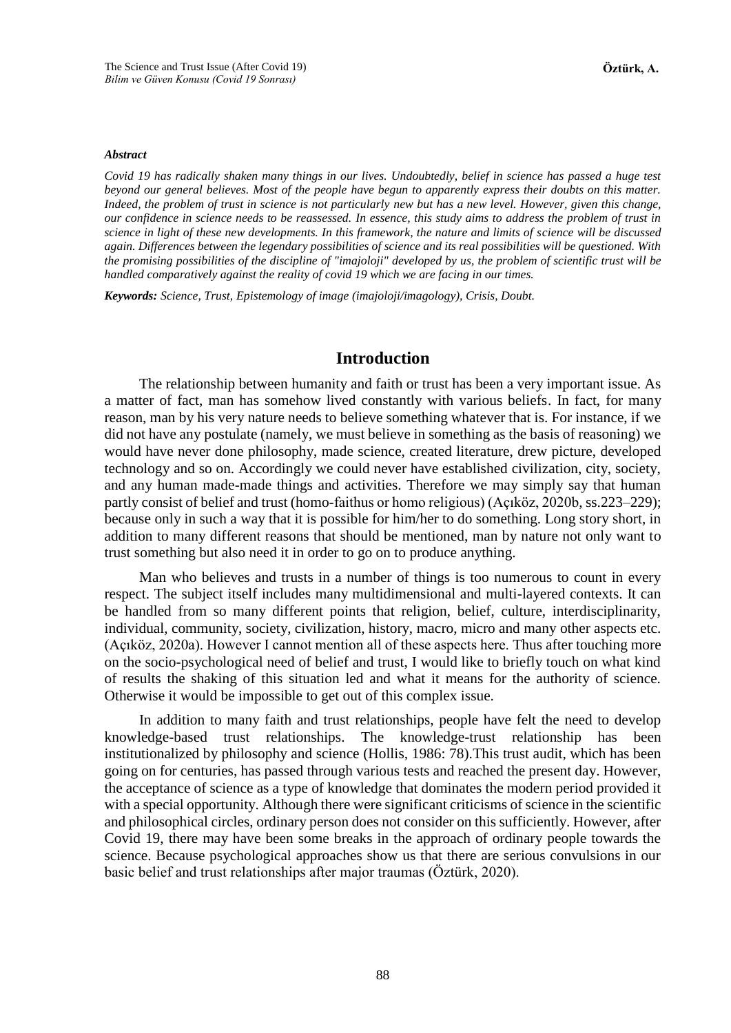#### *Abstract*

*Covid 19 has radically shaken many things in our lives. Undoubtedly, belief in science has passed a huge test beyond our general believes. Most of the people have begun to apparently express their doubts on this matter. Indeed, the problem of trust in science is not particularly new but has a new level. However, given this change, our confidence in science needs to be reassessed. In essence, this study aims to address the problem of trust in science in light of these new developments. In this framework, the nature and limits of science will be discussed again. Differences between the legendary possibilities of science and its real possibilities will be questioned. With the promising possibilities of the discipline of "imajoloji" developed by us, the problem of scientific trust will be handled comparatively against the reality of covid 19 which we are facing in our times.*

*Keywords: Science, Trust, Epistemology of image (imajoloji/imagology), Crisis, Doubt.*

#### **Introduction**

The relationship between humanity and faith or trust has been a very important issue. As a matter of fact, man has somehow lived constantly with various beliefs. In fact, for many reason, man by his very nature needs to believe something whatever that is. For instance, if we did not have any postulate (namely, we must believe in something as the basis of reasoning) we would have never done philosophy, made science, created literature, drew picture, developed technology and so on. Accordingly we could never have established civilization, city, society, and any human made-made things and activities. Therefore we may simply say that human partly consist of belief and trust (homo-faithus or homo religious) (Açıköz, 2020b, ss.223–229); because only in such a way that it is possible for him/her to do something. Long story short, in addition to many different reasons that should be mentioned, man by nature not only want to trust something but also need it in order to go on to produce anything.

Man who believes and trusts in a number of things is too numerous to count in every respect. The subject itself includes many multidimensional and multi-layered contexts. It can be handled from so many different points that religion, belief, culture, interdisciplinarity, individual, community, society, civilization, history, macro, micro and many other aspects etc. (Açıköz, 2020a). However I cannot mention all of these aspects here. Thus after touching more on the socio-psychological need of belief and trust, I would like to briefly touch on what kind of results the shaking of this situation led and what it means for the authority of science. Otherwise it would be impossible to get out of this complex issue.

In addition to many faith and trust relationships, people have felt the need to develop knowledge-based trust relationships. The knowledge-trust relationship has been institutionalized by philosophy and science (Hollis, 1986: 78).This trust audit, which has been going on for centuries, has passed through various tests and reached the present day. However, the acceptance of science as a type of knowledge that dominates the modern period provided it with a special opportunity. Although there were significant criticisms of science in the scientific and philosophical circles, ordinary person does not consider on this sufficiently. However, after Covid 19, there may have been some breaks in the approach of ordinary people towards the science. Because psychological approaches show us that there are serious convulsions in our basic belief and trust relationships after major traumas (Öztürk, 2020).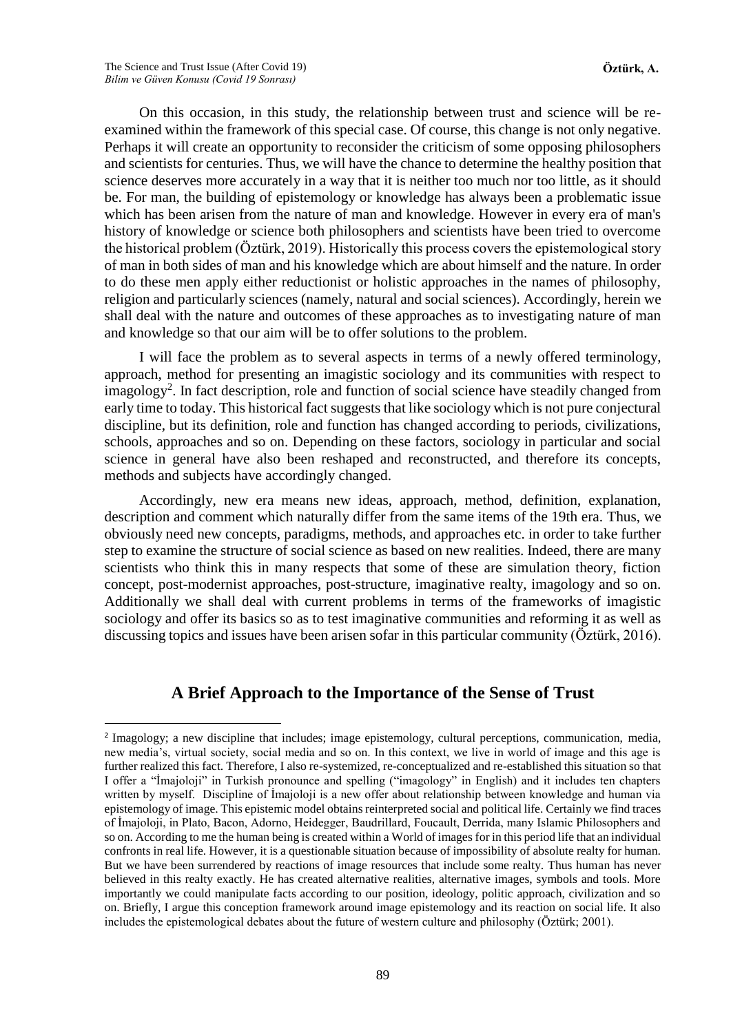1

On this occasion, in this study, the relationship between trust and science will be reexamined within the framework of this special case. Of course, this change is not only negative. Perhaps it will create an opportunity to reconsider the criticism of some opposing philosophers and scientists for centuries. Thus, we will have the chance to determine the healthy position that science deserves more accurately in a way that it is neither too much nor too little, as it should be. For man, the building of epistemology or knowledge has always been a problematic issue which has been arisen from the nature of man and knowledge. However in every era of man's history of knowledge or science both philosophers and scientists have been tried to overcome the historical problem (Öztürk, 2019). Historically this process covers the epistemological story of man in both sides of man and his knowledge which are about himself and the nature. In order to do these men apply either reductionist or holistic approaches in the names of philosophy, religion and particularly sciences (namely, natural and social sciences). Accordingly, herein we shall deal with the nature and outcomes of these approaches as to investigating nature of man and knowledge so that our aim will be to offer solutions to the problem.

I will face the problem as to several aspects in terms of a newly offered terminology, approach, method for presenting an imagistic sociology and its communities with respect to imagology<sup>2</sup>. In fact description, role and function of social science have steadily changed from early time to today. This historical fact suggests that like sociology which is not pure conjectural discipline, but its definition, role and function has changed according to periods, civilizations, schools, approaches and so on. Depending on these factors, sociology in particular and social science in general have also been reshaped and reconstructed, and therefore its concepts, methods and subjects have accordingly changed.

Accordingly, new era means new ideas, approach, method, definition, explanation, description and comment which naturally differ from the same items of the 19th era. Thus, we obviously need new concepts, paradigms, methods, and approaches etc. in order to take further step to examine the structure of social science as based on new realities. Indeed, there are many scientists who think this in many respects that some of these are simulation theory, fiction concept, post-modernist approaches, post-structure, imaginative realty, imagology and so on. Additionally we shall deal with current problems in terms of the frameworks of imagistic sociology and offer its basics so as to test imaginative communities and reforming it as well as discussing topics and issues have been arisen sofar in this particular community (Öztürk, 2016).

## **A Brief Approach to the Importance of the Sense of Trust**

<sup>&</sup>lt;sup>2</sup> Imagology; a new discipline that includes; image epistemology, cultural perceptions, communication, media, new media's, virtual society, social media and so on. In this context, we live in world of image and this age is further realized this fact. Therefore, I also re-systemized, re-conceptualized and re-established this situation so that I offer a "İmajoloji" in Turkish pronounce and spelling ("imagology" in English) and it includes ten chapters written by myself. Discipline of İmajoloji is a new offer about relationship between knowledge and human via epistemology of image. This epistemic model obtains reinterpreted social and political life. Certainly we find traces of İmajoloji, in Plato, Bacon, Adorno, Heidegger, Baudrillard, Foucault, Derrida, many Islamic Philosophers and so on. According to me the human being is created within a World of images for in this period life that an individual confronts in real life. However, it is a questionable situation because of impossibility of absolute realty for human. But we have been surrendered by reactions of image resources that include some realty. Thus human has never believed in this realty exactly. He has created alternative realities, alternative images, symbols and tools. More importantly we could manipulate facts according to our position, ideology, politic approach, civilization and so on. Briefly, I argue this conception framework around image epistemology and its reaction on social life. It also includes the epistemological debates about the future of western culture and philosophy (Öztürk; 2001).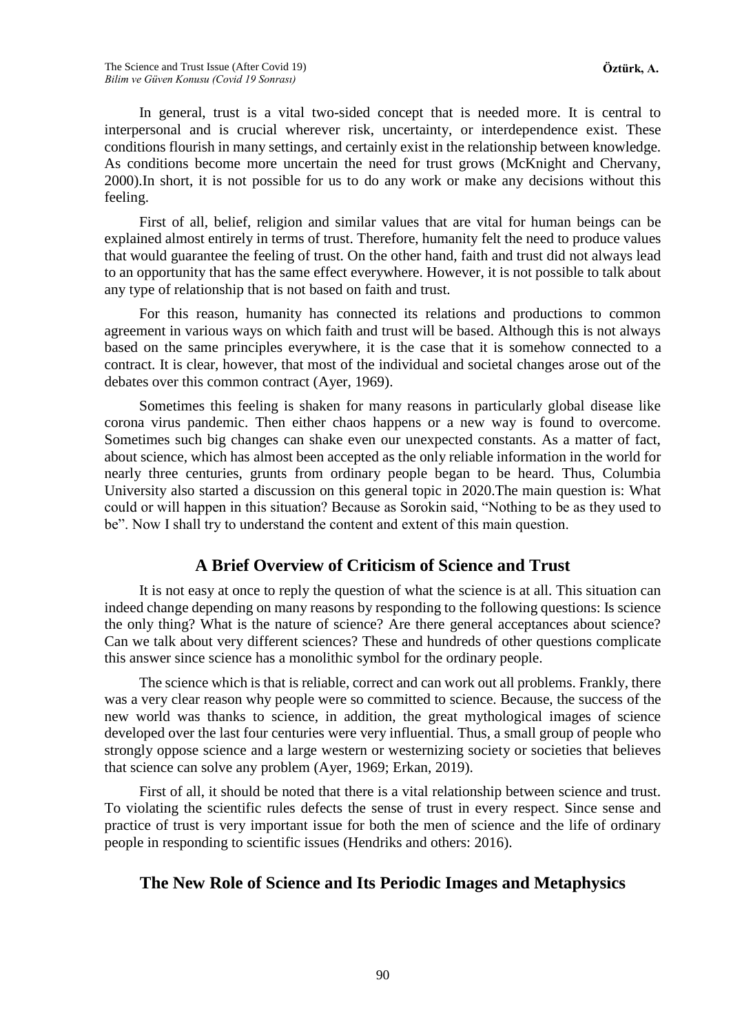In general, trust is a vital two-sided concept that is needed more. It is central to interpersonal and is crucial wherever risk, uncertainty, or interdependence exist. These conditions flourish in many settings, and certainly exist in the relationship between knowledge. As conditions become more uncertain the need for trust grows (McKnight and Chervany, 2000).In short, it is not possible for us to do any work or make any decisions without this feeling.

First of all, belief, religion and similar values that are vital for human beings can be explained almost entirely in terms of trust. Therefore, humanity felt the need to produce values that would guarantee the feeling of trust. On the other hand, faith and trust did not always lead to an opportunity that has the same effect everywhere. However, it is not possible to talk about any type of relationship that is not based on faith and trust.

For this reason, humanity has connected its relations and productions to common agreement in various ways on which faith and trust will be based. Although this is not always based on the same principles everywhere, it is the case that it is somehow connected to a contract. It is clear, however, that most of the individual and societal changes arose out of the debates over this common contract (Ayer, 1969).

Sometimes this feeling is shaken for many reasons in particularly global disease like corona virus pandemic. Then either chaos happens or a new way is found to overcome. Sometimes such big changes can shake even our unexpected constants. As a matter of fact, about science, which has almost been accepted as the only reliable information in the world for nearly three centuries, grunts from ordinary people began to be heard. Thus, Columbia University also started a discussion on this general topic in 2020.The main question is: What could or will happen in this situation? Because as Sorokin said, "Nothing to be as they used to be". Now I shall try to understand the content and extent of this main question.

## **A Brief Overview of Criticism of Science and Trust**

It is not easy at once to reply the question of what the science is at all. This situation can indeed change depending on many reasons by responding to the following questions: Is science the only thing? What is the nature of science? Are there general acceptances about science? Can we talk about very different sciences? These and hundreds of other questions complicate this answer since science has a monolithic symbol for the ordinary people.

The science which is that is reliable, correct and can work out all problems. Frankly, there was a very clear reason why people were so committed to science. Because, the success of the new world was thanks to science, in addition, the great mythological images of science developed over the last four centuries were very influential. Thus, a small group of people who strongly oppose science and a large western or westernizing society or societies that believes that science can solve any problem (Ayer, 1969; Erkan, 2019).

First of all, it should be noted that there is a vital relationship between science and trust. To violating the scientific rules defects the sense of trust in every respect. Since sense and practice of trust is very important issue for both the men of science and the life of ordinary people in responding to scientific issues (Hendriks and others: 2016).

## **The New Role of Science and Its Periodic Images and Metaphysics**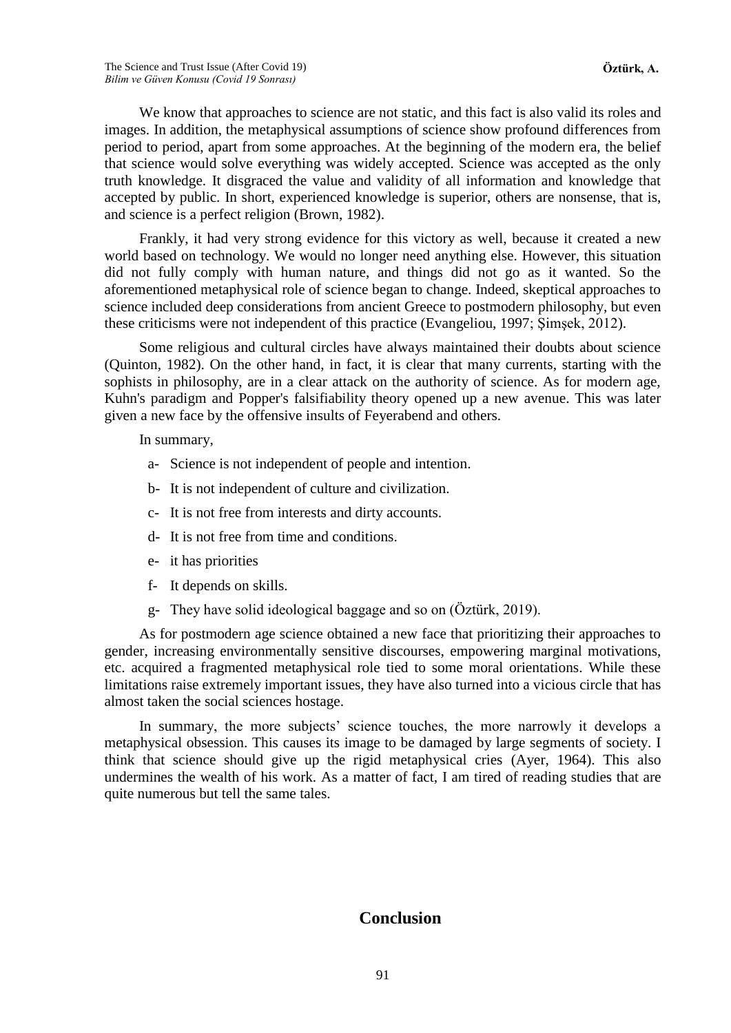We know that approaches to science are not static, and this fact is also valid its roles and images. In addition, the metaphysical assumptions of science show profound differences from period to period, apart from some approaches. At the beginning of the modern era, the belief that science would solve everything was widely accepted. Science was accepted as the only truth knowledge. It disgraced the value and validity of all information and knowledge that accepted by public. In short, experienced knowledge is superior, others are nonsense, that is, and science is a perfect religion (Brown, 1982).

Frankly, it had very strong evidence for this victory as well, because it created a new world based on technology. We would no longer need anything else. However, this situation did not fully comply with human nature, and things did not go as it wanted. So the aforementioned metaphysical role of science began to change. Indeed, skeptical approaches to science included deep considerations from ancient Greece to postmodern philosophy, but even these criticisms were not independent of this practice (Evangeliou, 1997; Şimşek, 2012).

Some religious and cultural circles have always maintained their doubts about science (Quinton, 1982). On the other hand, in fact, it is clear that many currents, starting with the sophists in philosophy, are in a clear attack on the authority of science. As for modern age, Kuhn's paradigm and Popper's falsifiability theory opened up a new avenue. This was later given a new face by the offensive insults of Feyerabend and others.

In summary,

- a- Science is not independent of people and intention.
- b- It is not independent of culture and civilization.
- c- It is not free from interests and dirty accounts.
- d- It is not free from time and conditions.
- e- it has priorities
- f- It depends on skills.
- g- They have solid ideological baggage and so on (Öztürk, 2019).

As for postmodern age science obtained a new face that prioritizing their approaches to gender, increasing environmentally sensitive discourses, empowering marginal motivations, etc. acquired a fragmented metaphysical role tied to some moral orientations. While these limitations raise extremely important issues, they have also turned into a vicious circle that has almost taken the social sciences hostage.

In summary, the more subjects' science touches, the more narrowly it develops a metaphysical obsession. This causes its image to be damaged by large segments of society. I think that science should give up the rigid metaphysical cries (Ayer, 1964). This also undermines the wealth of his work. As a matter of fact, I am tired of reading studies that are quite numerous but tell the same tales.

#### **Conclusion**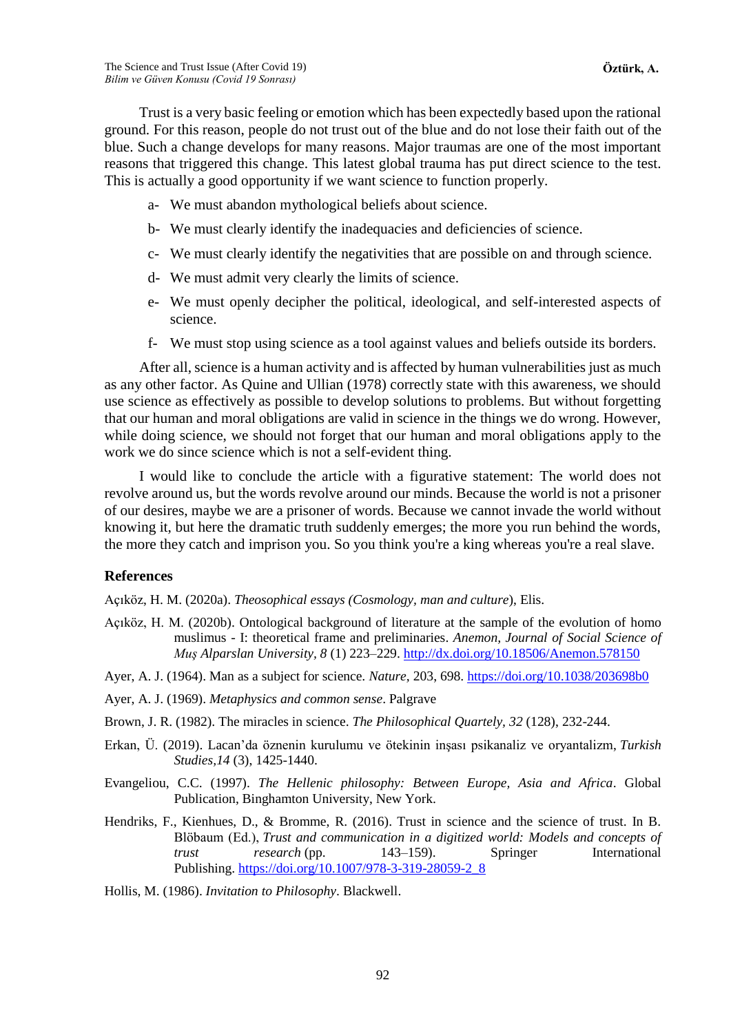Trust is a very basic feeling or emotion which has been expectedly based upon the rational ground. For this reason, people do not trust out of the blue and do not lose their faith out of the blue. Such a change develops for many reasons. Major traumas are one of the most important reasons that triggered this change. This latest global trauma has put direct science to the test. This is actually a good opportunity if we want science to function properly.

- a- We must abandon mythological beliefs about science.
- b- We must clearly identify the inadequacies and deficiencies of science.
- c- We must clearly identify the negativities that are possible on and through science.
- d- We must admit very clearly the limits of science.
- e- We must openly decipher the political, ideological, and self-interested aspects of science.
- f- We must stop using science as a tool against values and beliefs outside its borders.

After all, science is a human activity and is affected by human vulnerabilities just as much as any other factor. As Quine and Ullian (1978) correctly state with this awareness, we should use science as effectively as possible to develop solutions to problems. But without forgetting that our human and moral obligations are valid in science in the things we do wrong. However, while doing science, we should not forget that our human and moral obligations apply to the work we do since science which is not a self-evident thing.

I would like to conclude the article with a figurative statement: The world does not revolve around us, but the words revolve around our minds. Because the world is not a prisoner of our desires, maybe we are a prisoner of words. Because we cannot invade the world without knowing it, but here the dramatic truth suddenly emerges; the more you run behind the words, the more they catch and imprison you. So you think you're a king whereas you're a real slave.

#### **References**

Açıköz, H. M. (2020a). *Theosophical essays (Cosmology, man and culture*), Elis.

Açıköz, H. M. (2020b). Ontological background of literature at the sample of the evolution of homo muslimus - I: theoretical frame and preliminaries. *Anemon, Journal of Social Science of Muş Alparslan University, 8* (1) 223–229[. http://dx.doi.org/10.18506/Anemon.578150](http://dx.doi.org/10.18506/Anemon.578150)

Ayer, A. J. (1964). Man as a subject for science*. Nature,* 203, 698.<https://doi.org/10.1038/203698b0>

Ayer, A. J. (1969). *Metaphysics and common sense*. Palgrave

Brown, J. R. (1982). The miracles in science. *The Philosophical Quartely, 32* (128), 232-244.

- Erkan, Ü. (2019). Lacan'da öznenin kurulumu ve ötekinin inşası psikanaliz ve oryantalizm, *Turkish Studies,14* (3), 1425-1440.
- Evangeliou, C.C. (1997). *The Hellenic philosophy: Between Europe, Asia and Africa*. Global Publication, Binghamton University, New York.
- Hendriks, F., Kienhues, D., & Bromme, R. (2016). Trust in science and the science of trust. In B. Blöbaum (Ed.), *Trust and communication in a digitized world: Models and concepts of trust research* (pp. 143–159). Springer International Publishing. [https://doi.org/10.1007/978-3-319-28059-2\\_8](https://psycnet.apa.org/doi/10.1007/978-3-319-28059-2_8)

Hollis, M. (1986). *Invitation to Philosophy*. Blackwell.